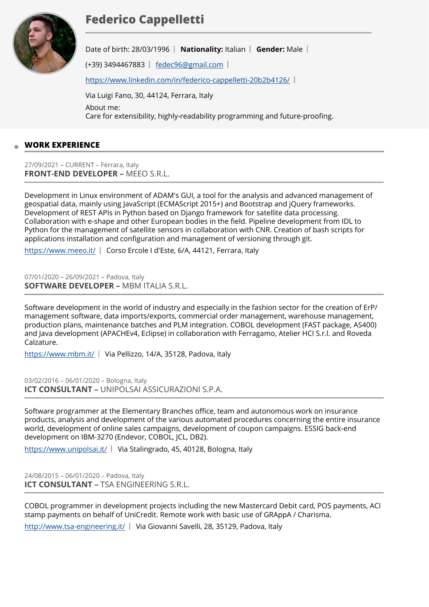# **Federico Cappelletti**



Date of birth: 28/03/1996 | Nationality: Italian | Gender: Male |

(+39) 3494467883 [fedec96@gmail.com](mailto:fedec96@gmail.com)

https://www.linkedin.com/in/federico-cappelletti-20b2b4126/

Via Luigi Fano, 30, 44124, Ferrara, Italy About me: Care for extensibility, highly-readability programming and future-proofing.

# **WORK EXPERIENCE**

27/09/2021 – CURRENT – Ferrara, Italy **FRONT-END DEVELOPER –** MEEO S.R.L.

Development in Linux environment of ADAM's GUI, a tool for the analysis and advanced management of geospatial data, mainly using JavaScript (ECMAScript 2015+) and Bootstrap and jQuery frameworks. Development of REST APIs in Python based on Django framework for satellite data processing. Collaboration with e-shape and other European bodies in the field. Pipeline development from IDL to Python for the management of satellite sensors in collaboration with CNR. Creation of bash scripts for applications installation and configuration and management of versioning through git.

<https://www.meeo.it/>| Corso Ercole I d'Este, 6/A, 44121, Ferrara, Italy

07/01/2020 – 26/09/2021 – Padova, Italy **SOFTWARE DEVELOPER –** MBM ITALIA S.R.L.

Software development in the world of industry and especially in the fashion sector for the creation of ErP/ management software, data imports/exports, commercial order management, warehouse management, production plans, maintenance batches and PLM integration. COBOL development (FAST package, AS400) and Java development (APACHEv4, Eclipse) in collaboration with Ferragamo, Atelier HCI S.r.l. and Roveda Calzature.

<https://www.mbm.it/>| Via Pellizzo, 14/A, 35128, Padova, Italy

03/02/2016 – 06/01/2020 – Bologna, Italy **ICT CONSULTANT –** UNIPOLSAI ASSICURAZIONI S.P.A.

Software programmer at the Elementary Branches office, team and autonomous work on insurance products, analysis and development of the various automated procedures concerning the entire insurance world, development of online sales campaigns, development of coupon campaigns. ESSIG back-end development on IBM-3270 (Endevor, COBOL, JCL, DB2).

<https://www.unipolsai.it/>| Via Stalingrado, 45, 40128, Bologna, Italy

24/08/2015 – 06/01/2020 – Padova, Italy **ICT CONSULTANT –** TSA ENGINEERING S.R.L.

COBOL programmer in development projects including the new Mastercard Debit card, POS payments, ACI stamp payments on behalf of UniCredit. Remote work with basic use of GRAppA / Charisma.

<http://www.tsa-engineering.it/>| Via Giovanni Savelli, 28, 35129, Padova, Italy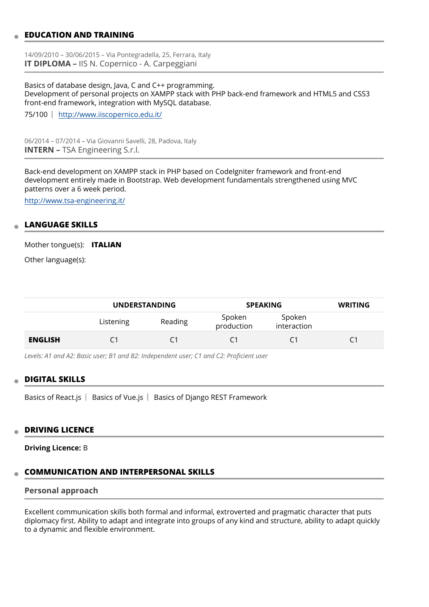## **EDUCATION AND TRAINING**

14/09/2010 – 30/06/2015 – Via Pontegradella, 25, Ferrara, Italy **IT DIPLOMA –** IIS N. Copernico - A. Carpeggiani

Basics of database design, Java, C and C++ programming. Development of personal projects on XAMPP stack with PHP back-end framework and HTML5 and CSS3 front-end framework, integration with MySQL database.

75/100 <http://www.iiscopernico.edu.it/>

06/2014 – 07/2014 – Via Giovanni Savelli, 28, Padova, Italy **INTERN –** TSA Engineering S.r.l.

Back-end development on XAMPP stack in PHP based on CodeIgniter framework and front-end development entirely made in Bootstrap. Web development fundamentals strengthened using MVC patterns over a 6 week period.

<http://www.tsa-engineering.it/>

#### **LANGUAGE SKILLS**

Mother tongue(s): **ITALIAN**

Other language(s):

|                | <b>UNDERSTANDING</b> |         | <b>SPEAKING</b>      |                       | <b>WRITING</b> |
|----------------|----------------------|---------|----------------------|-----------------------|----------------|
|                | Listening            | Reading | Spoken<br>production | Spoken<br>interaction |                |
| <b>ENGLISH</b> |                      |         |                      | C1                    |                |

*Levels: A1 and A2: Basic user; B1 and B2: Independent user; C1 and C2: Proficient user*

#### **DIGITAL SKILLS**

Basics of React.js  $\vert$  Basics of Vue.js  $\vert$  Basics of Django REST Framework

#### **DRIVING LICENCE**

**Driving Licence:** B

## **COMMUNICATION AND INTERPERSONAL SKILLS**

## **Personal approach**

Excellent communication skills both formal and informal, extroverted and pragmatic character that puts diplomacy first. Ability to adapt and integrate into groups of any kind and structure, ability to adapt quickly to a dynamic and flexible environment.